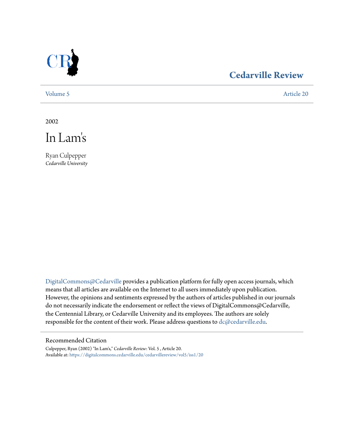

# **[Cedarville Review](https://digitalcommons.cedarville.edu/cedarvillereview?utm_source=digitalcommons.cedarville.edu%2Fcedarvillereview%2Fvol5%2Fiss1%2F20&utm_medium=PDF&utm_campaign=PDFCoverPages)**

[Volume 5](https://digitalcommons.cedarville.edu/cedarvillereview/vol5?utm_source=digitalcommons.cedarville.edu%2Fcedarvillereview%2Fvol5%2Fiss1%2F20&utm_medium=PDF&utm_campaign=PDFCoverPages) [Article 20](https://digitalcommons.cedarville.edu/cedarvillereview/vol5/iss1/20?utm_source=digitalcommons.cedarville.edu%2Fcedarvillereview%2Fvol5%2Fiss1%2F20&utm_medium=PDF&utm_campaign=PDFCoverPages)

2002



Ryan Culpepper *Cedarville University*

[DigitalCommons@Cedarville](http://digitalcommons.cedarville.edu) provides a publication platform for fully open access journals, which means that all articles are available on the Internet to all users immediately upon publication. However, the opinions and sentiments expressed by the authors of articles published in our journals do not necessarily indicate the endorsement or reflect the views of DigitalCommons@Cedarville, the Centennial Library, or Cedarville University and its employees. The authors are solely responsible for the content of their work. Please address questions to [dc@cedarville.edu](mailto:dc@cedarville.edu).

#### Recommended Citation

Culpepper, Ryan (2002) "In Lam's," *Cedarville Review*: Vol. 5 , Article 20. Available at: [https://digitalcommons.cedarville.edu/cedarvillereview/vol5/iss1/20](https://digitalcommons.cedarville.edu/cedarvillereview/vol5/iss1/20?utm_source=digitalcommons.cedarville.edu%2Fcedarvillereview%2Fvol5%2Fiss1%2F20&utm_medium=PDF&utm_campaign=PDFCoverPages)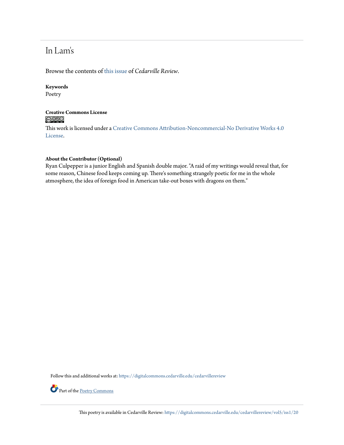# In Lam's

Browse the contents of [this issue](https://digitalcommons.cedarville.edu/cedarvillereview/vol5/iss1) of *Cedarville Review*.

#### **Keywords**

Poetry

### **Creative Commons License**  $\bigcirc$   $\circ$

This work is licensed under a [Creative Commons Attribution-Noncommercial-No Derivative Works 4.0](http://creativecommons.org/licenses/by-nc-nd/4.0/) [License.](http://creativecommons.org/licenses/by-nc-nd/4.0/)

#### **About the Contributor (Optional)**

Ryan Culpepper is a junior English and Spanish double major. "A raid of my writings would reveal that, for some reason, Chinese food keeps coming up. There's something strangely poetic for me in the whole atmosphere, the idea of foreign food in American take-out boxes with dragons on them."

Follow this and additional works at: [https://digitalcommons.cedarville.edu/cedarvillereview](https://digitalcommons.cedarville.edu/cedarvillereview?utm_source=digitalcommons.cedarville.edu%2Fcedarvillereview%2Fvol5%2Fiss1%2F20&utm_medium=PDF&utm_campaign=PDFCoverPages)



Part of the [Poetry Commons](http://network.bepress.com/hgg/discipline/1153?utm_source=digitalcommons.cedarville.edu%2Fcedarvillereview%2Fvol5%2Fiss1%2F20&utm_medium=PDF&utm_campaign=PDFCoverPages)